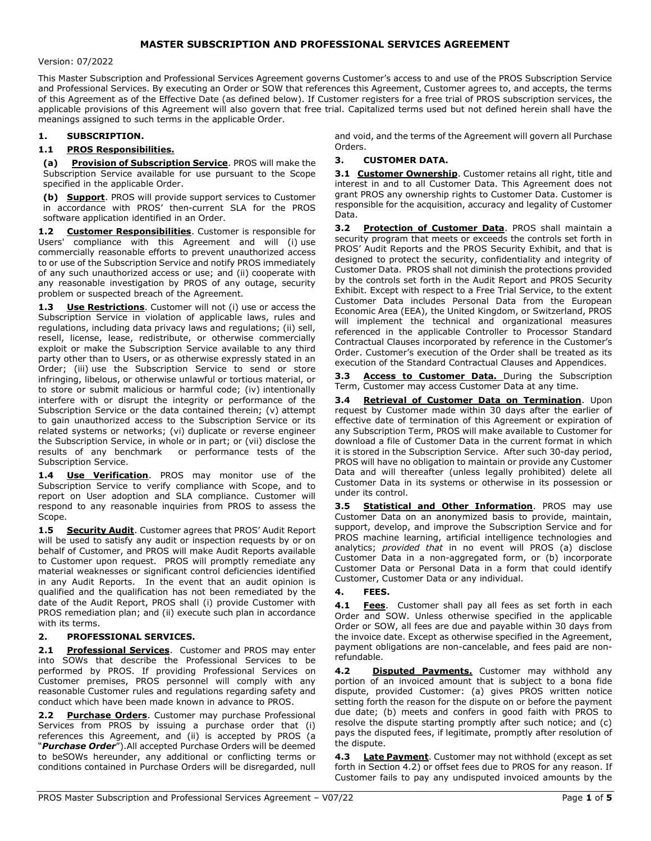# MASTER SUBSCRIPTION AND PROFESSIONAL SERVICES AGREEMENT

#### Version: 07/2022

This Master Subscription and Professional Services Agreement governs Customer's access to and use of the PROS Subscription Service and Professional Services. By executing an Order or SOW that references this Agreement, Customer agrees to, and accepts, the terms of this Agreement as of the Effective Date (as defined below). If Customer registers for a free trial of PROS subscription services, the applicable provisions of this Agreement will also govern that free trial. Capitalized terms used but not defined herein shall have the meanings assigned to such terms in the applicable Order.

#### 1. SUBSCRIPTION.

#### 1.1 PROS Responsibilities.

(a) Provision of Subscription Service. PROS will make the Subscription Service available for use pursuant to the Scope specified in the applicable Order.

(b) Support. PROS will provide support services to Customer in accordance with PROS' then-current SLA for the PROS software application identified in an Order.

1.2 Customer Responsibilities. Customer is responsible for Users' compliance with this Agreement and will (i) use commercially reasonable efforts to prevent unauthorized access to or use of the Subscription Service and notify PROS immediately of any such unauthorized access or use; and (ii) cooperate with any reasonable investigation by PROS of any outage, security problem or suspected breach of the Agreement.

1.3 Use Restrictions. Customer will not (i) use or access the Subscription Service in violation of applicable laws, rules and regulations, including data privacy laws and regulations; (ii) sell, resell, license, lease, redistribute, or otherwise commercially exploit or make the Subscription Service available to any third party other than to Users, or as otherwise expressly stated in an Order; (iii) use the Subscription Service to send or store infringing, libelous, or otherwise unlawful or tortious material, or to store or submit malicious or harmful code; (iv) intentionally interfere with or disrupt the integrity or performance of the Subscription Service or the data contained therein; (v) attempt to gain unauthorized access to the Subscription Service or its related systems or networks; (vi) duplicate or reverse engineer the Subscription Service, in whole or in part; or (vii) disclose the results of any benchmark or performance tests of the Subscription Service.

1.4 **Use Verification**. PROS may monitor use of the Subscription Service to verify compliance with Scope, and to report on User adoption and SLA compliance. Customer will respond to any reasonable inquiries from PROS to assess the Scope.

1.5 Security Audit. Customer agrees that PROS' Audit Report will be used to satisfy any audit or inspection requests by or on behalf of Customer, and PROS will make Audit Reports available to Customer upon request. PROS will promptly remediate any material weaknesses or significant control deficiencies identified in any Audit Reports. In the event that an audit opinion is qualified and the qualification has not been remediated by the date of the Audit Report, PROS shall (i) provide Customer with PROS remediation plan; and (ii) execute such plan in accordance with its terms.

#### 2. PROFESSIONAL SERVICES.

2.1 Professional Services. Customer and PROS may enter into SOWs that describe the Professional Services to be performed by PROS. If providing Professional Services on Customer premises, PROS personnel will comply with any reasonable Customer rules and regulations regarding safety and conduct which have been made known in advance to PROS.

Purchase Orders. Customer may purchase Professional Services from PROS by issuing a purchase order that (i) references this Agreement, and (ii) is accepted by PROS (a "Purchase Order"). All accepted Purchase Orders will be deemed to beSOWs hereunder, any additional or conflicting terms or conditions contained in Purchase Orders will be disregarded, null and void, and the terms of the Agreement will govern all Purchase Orders.

#### 3. CUSTOMER DATA.

3.1 Customer Ownership. Customer retains all right, title and interest in and to all Customer Data. This Agreement does not grant PROS any ownership rights to Customer Data. Customer is responsible for the acquisition, accuracy and legality of Customer Data.

3.2 Protection of Customer Data. PROS shall maintain a security program that meets or exceeds the controls set forth in PROS' Audit Reports and the PROS Security Exhibit, and that is designed to protect the security, confidentiality and integrity of Customer Data. PROS shall not diminish the protections provided by the controls set forth in the Audit Report and PROS Security Exhibit. Except with respect to a Free Trial Service, to the extent Customer Data includes Personal Data from the European Economic Area (EEA), the United Kingdom, or Switzerland, PROS will implement the technical and organizational measures referenced in the applicable Controller to Processor Standard Contractual Clauses incorporated by reference in the Customer's Order. Customer's execution of the Order shall be treated as its execution of the Standard Contractual Clauses and Appendices.

3.3 Access to Customer Data. During the Subscription Term, Customer may access Customer Data at any time.

3.4 Retrieval of Customer Data on Termination. Upon request by Customer made within 30 days after the earlier of effective date of termination of this Agreement or expiration of any Subscription Term, PROS will make available to Customer for download a file of Customer Data in the current format in which it is stored in the Subscription Service. After such 30-day period, PROS will have no obligation to maintain or provide any Customer Data and will thereafter (unless legally prohibited) delete all Customer Data in its systems or otherwise in its possession or under its control.

3.5 **Statistical and Other Information**. PROS may use Customer Data on an anonymized basis to provide, maintain, support, develop, and improve the Subscription Service and for PROS machine learning, artificial intelligence technologies and analytics; provided that in no event will PROS (a) disclose Customer Data in a non-aggregated form, or (b) incorporate Customer Data or Personal Data in a form that could identify Customer, Customer Data or any individual.

#### 4. FEES.

4.1 Fees. Customer shall pay all fees as set forth in each Order and SOW. Unless otherwise specified in the applicable Order or SOW, all fees are due and payable within 30 days from the invoice date. Except as otherwise specified in the Agreement, payment obligations are non-cancelable, and fees paid are nonrefundable.

4.2 **Disputed Payments.** Customer may withhold any portion of an invoiced amount that is subject to a bona fide dispute, provided Customer: (a) gives PROS written notice setting forth the reason for the dispute on or before the payment due date; (b) meets and confers in good faith with PROS to resolve the dispute starting promptly after such notice; and (c) pays the disputed fees, if legitimate, promptly after resolution of the dispute.

4.3 Late Payment. Customer may not withhold (except as set forth in Section 4.2) or offset fees due to PROS for any reason. If Customer fails to pay any undisputed invoiced amounts by the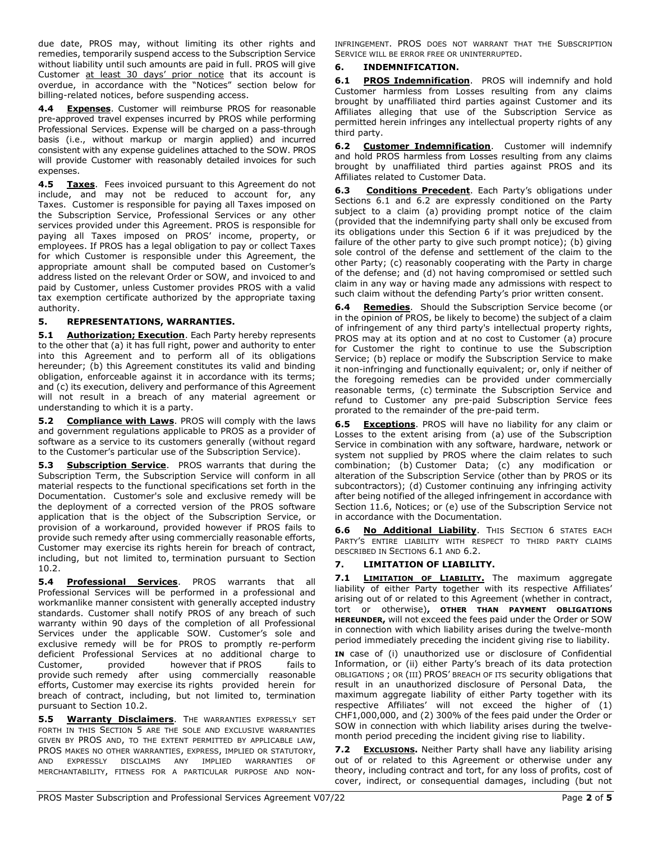due date, PROS may, without limiting its other rights and remedies, temporarily suspend access to the Subscription Service without liability until such amounts are paid in full. PROS will give Customer at least 30 days' prior notice that its account is overdue, in accordance with the "Notices" section below for billing-related notices, before suspending access.

4.4 Expenses. Customer will reimburse PROS for reasonable pre-approved travel expenses incurred by PROS while performing Professional Services. Expense will be charged on a pass-through basis (i.e., without markup or margin applied) and incurred consistent with any expense guidelines attached to the SOW. PROS will provide Customer with reasonably detailed invoices for such expenses.

4.5 Taxes. Fees invoiced pursuant to this Agreement do not include, and may not be reduced to account for, any Taxes. Customer is responsible for paying all Taxes imposed on the Subscription Service, Professional Services or any other services provided under this Agreement. PROS is responsible for paying all Taxes imposed on PROS' income, property, or employees. If PROS has a legal obligation to pay or collect Taxes for which Customer is responsible under this Agreement, the appropriate amount shall be computed based on Customer's address listed on the relevant Order or SOW, and invoiced to and paid by Customer, unless Customer provides PROS with a valid tax exemption certificate authorized by the appropriate taxing authority.

# 5. REPRESENTATIONS, WARRANTIES.

5.1 Authorization; Execution. Each Party hereby represents to the other that (a) it has full right, power and authority to enter into this Agreement and to perform all of its obligations hereunder; (b) this Agreement constitutes its valid and binding obligation, enforceable against it in accordance with its terms; and (c) its execution, delivery and performance of this Agreement will not result in a breach of any material agreement or understanding to which it is a party.

5.2 Compliance with Laws. PROS will comply with the laws and government regulations applicable to PROS as a provider of software as a service to its customers generally (without regard to the Customer's particular use of the Subscription Service).

5.3 Subscription Service. PROS warrants that during the Subscription Term, the Subscription Service will conform in all material respects to the functional specifications set forth in the Documentation. Customer's sole and exclusive remedy will be the deployment of a corrected version of the PROS software application that is the object of the Subscription Service, or provision of a workaround, provided however if PROS fails to provide such remedy after using commercially reasonable efforts, Customer may exercise its rights herein for breach of contract, including, but not limited to, termination pursuant to Section 10.2.

5.4 Professional Services. PROS warrants that all Professional Services will be performed in a professional and workmanlike manner consistent with generally accepted industry standards. Customer shall notify PROS of any breach of such warranty within 90 days of the completion of all Professional Services under the applicable SOW. Customer's sole and exclusive remedy will be for PROS to promptly re-perform deficient Professional Services at no additional charge to Customer, provided however that if PROS fails to provide such remedy after using commercially reasonable efforts, Customer may exercise its rights provided herein for breach of contract, including, but not limited to, termination pursuant to Section 10.2.

5.5 Warranty Disclaimers. THE WARRANTIES EXPRESSLY SET FORTH IN THIS SECTION 5 ARE THE SOLE AND EXCLUSIVE WARRANTIES GIVEN BY PROS AND, TO THE EXTENT PERMITTED BY APPLICABLE LAW, PROS MAKES NO OTHER WARRANTIES, EXPRESS, IMPLIED OR STATUTORY, AND EXPRESSLY DISCLAIMS ANY IMPLIED WARRANTIES OF MERCHANTABILITY, FITNESS FOR A PARTICULAR PURPOSE AND NON- INFRINGEMENT. PROS DOES NOT WARRANT THAT THE SUBSCRIPTION SERVICE WILL BE ERROR FREE OR UNINTERRUPTED.

# 6. INDEMNIFICATION.

6.1 PROS Indemnification. PROS will indemnify and hold Customer harmless from Losses resulting from any claims brought by unaffiliated third parties against Customer and its Affiliates alleging that use of the Subscription Service as permitted herein infringes any intellectual property rights of any third party.

6.2 Customer Indemnification. Customer will indemnify and hold PROS harmless from Losses resulting from any claims brought by unaffiliated third parties against PROS and its Affiliates related to Customer Data.

Conditions Precedent. Each Party's obligations under Sections 6.1 and 6.2 are expressly conditioned on the Party subject to a claim (a) providing prompt notice of the claim (provided that the indemnifying party shall only be excused from its obligations under this Section 6 if it was prejudiced by the failure of the other party to give such prompt notice); (b) giving sole control of the defense and settlement of the claim to the other Party; (c) reasonably cooperating with the Party in charge of the defense; and (d) not having compromised or settled such claim in any way or having made any admissions with respect to such claim without the defending Party's prior written consent.

6.4 Remedies. Should the Subscription Service become (or in the opinion of PROS, be likely to become) the subject of a claim of infringement of any third party's intellectual property rights, PROS may at its option and at no cost to Customer (a) procure for Customer the right to continue to use the Subscription Service; (b) replace or modify the Subscription Service to make it non-infringing and functionally equivalent; or, only if neither of the foregoing remedies can be provided under commercially reasonable terms, (c) terminate the Subscription Service and refund to Customer any pre-paid Subscription Service fees prorated to the remainder of the pre-paid term.

**6.5 Exceptions.** PROS will have no liability for any claim or Losses to the extent arising from (a) use of the Subscription Service in combination with any software, hardware, network or system not supplied by PROS where the claim relates to such combination; (b) Customer Data; (c) any modification or alteration of the Subscription Service (other than by PROS or its subcontractors); (d) Customer continuing any infringing activity after being notified of the alleged infringement in accordance with Section 11.6, Notices; or (e) use of the Subscription Service not in accordance with the Documentation.

6.6 No Additional Liability. THIS SECTION 6 STATES EACH PARTY'S ENTIRE LIABILITY WITH RESPECT TO THIRD PARTY CLAIMS DESCRIBED IN SECTIONS 6.1 AND 6.2.

# 7. LIMITATION OF LIABILITY.

7.1 **LIMITATION OF LIABILITY.** The maximum aggregate liability of either Party together with its respective Affiliates' arising out of or related to this Agreement (whether in contract, tort or otherwise), OTHER THAN PAYMENT OBLIGATIONS HEREUNDER, will not exceed the fees paid under the Order or SOW in connection with which liability arises during the twelve-month period immediately preceding the incident giving rise to liability.

IN case of (i) unauthorized use or disclosure of Confidential Information, or (ii) either Party's breach of its data protection OBLIGATIONS ; OR (III) PROS' BREACH OF ITS security obligations that result in an unauthorized disclosure of Personal Data, the maximum aggregate liability of either Party together with its respective Affiliates' will not exceed the higher of (1) CHF1,000,000, and (2) 300% of the fees paid under the Order or SOW in connection with which liability arises during the twelvemonth period preceding the incident giving rise to liability.

7.2 ExcLustons. Neither Party shall have any liability arising out of or related to this Agreement or otherwise under any theory, including contract and tort, for any loss of profits, cost of cover, indirect, or consequential damages, including (but not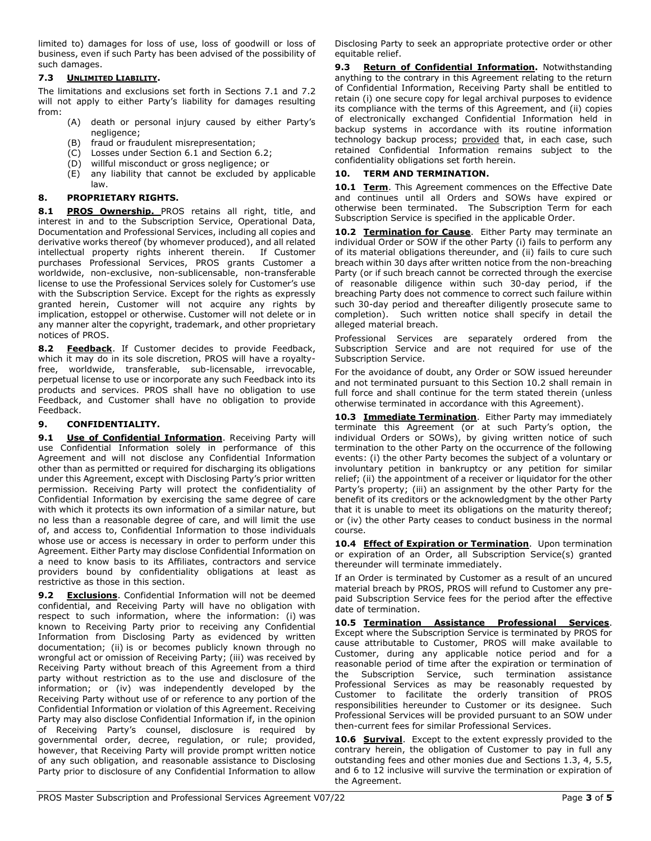limited to) damages for loss of use, loss of goodwill or loss of business, even if such Party has been advised of the possibility of such damages.

# 7.3 UNLIMITED LIABILITY.

The limitations and exclusions set forth in Sections 7.1 and 7.2 will not apply to either Party's liability for damages resulting from:

- (A) death or personal injury caused by either Party's negligence;
- (B) fraud or fraudulent misrepresentation;
- (C) Losses under Section 6.1 and Section 6.2;
- (D) willful misconduct or gross negligence; or
- (E) any liability that cannot be excluded by applicable law.

# 8. PROPRIETARY RIGHTS.

8.1 PROS Ownership. PROS retains all right, title, and interest in and to the Subscription Service, Operational Data, Documentation and Professional Services, including all copies and derivative works thereof (by whomever produced), and all related intellectual property rights inherent therein. If Customer purchases Professional Services, PROS grants Customer a worldwide, non-exclusive, non-sublicensable, non-transferable license to use the Professional Services solely for Customer's use with the Subscription Service. Except for the rights as expressly granted herein, Customer will not acquire any rights by implication, estoppel or otherwise. Customer will not delete or in any manner alter the copyright, trademark, and other proprietary notices of PROS.

8.2 Feedback. If Customer decides to provide Feedback, which it may do in its sole discretion, PROS will have a royaltyfree, worldwide, transferable, sub-licensable, irrevocable, perpetual license to use or incorporate any such Feedback into its products and services. PROS shall have no obligation to use Feedback, and Customer shall have no obligation to provide Feedback.

# 9. CONFIDENTIALITY.

9.1 Use of Confidential Information. Receiving Party will use Confidential Information solely in performance of this Agreement and will not disclose any Confidential Information other than as permitted or required for discharging its obligations under this Agreement, except with Disclosing Party's prior written permission. Receiving Party will protect the confidentiality of Confidential Information by exercising the same degree of care with which it protects its own information of a similar nature, but no less than a reasonable degree of care, and will limit the use of, and access to, Confidential Information to those individuals whose use or access is necessary in order to perform under this Agreement. Either Party may disclose Confidential Information on a need to know basis to its Affiliates, contractors and service providers bound by confidentiality obligations at least as restrictive as those in this section.

9.2 Exclusions. Confidential Information will not be deemed confidential, and Receiving Party will have no obligation with respect to such information, where the information: (i) was known to Receiving Party prior to receiving any Confidential Information from Disclosing Party as evidenced by written documentation; (ii) is or becomes publicly known through no wrongful act or omission of Receiving Party; (iii) was received by Receiving Party without breach of this Agreement from a third party without restriction as to the use and disclosure of the information; or (iv) was independently developed by the Receiving Party without use of or reference to any portion of the Confidential Information or violation of this Agreement. Receiving Party may also disclose Confidential Information if, in the opinion of Receiving Party's counsel, disclosure is required by governmental order, decree, regulation, or rule; provided, however, that Receiving Party will provide prompt written notice of any such obligation, and reasonable assistance to Disclosing Party prior to disclosure of any Confidential Information to allow

Disclosing Party to seek an appropriate protective order or other equitable relief.

9.3 Return of Confidential Information. Notwithstanding anything to the contrary in this Agreement relating to the return of Confidential Information, Receiving Party shall be entitled to retain (i) one secure copy for legal archival purposes to evidence its compliance with the terms of this Agreement, and (ii) copies of electronically exchanged Confidential Information held in backup systems in accordance with its routine information technology backup process; provided that, in each case, such retained Confidential Information remains subject to the confidentiality obligations set forth herein.

# 10. TERM AND TERMINATION.

10.1 Term. This Agreement commences on the Effective Date and continues until all Orders and SOWs have expired or otherwise been terminated. The Subscription Term for each Subscription Service is specified in the applicable Order.

10.2 Termination for Cause. Either Party may terminate an individual Order or SOW if the other Party (i) fails to perform any of its material obligations thereunder, and (ii) fails to cure such breach within 30 days after written notice from the non-breaching Party (or if such breach cannot be corrected through the exercise of reasonable diligence within such 30-day period, if the breaching Party does not commence to correct such failure within such 30-day period and thereafter diligently prosecute same to completion). Such written notice shall specify in detail the alleged material breach.

Professional Services are separately ordered from the Subscription Service and are not required for use of the Subscription Service.

For the avoidance of doubt, any Order or SOW issued hereunder and not terminated pursuant to this Section 10.2 shall remain in full force and shall continue for the term stated therein (unless otherwise terminated in accordance with this Agreement).

10.3 Immediate Termination. Either Party may immediately terminate this Agreement (or at such Party's option, the individual Orders or SOWs), by giving written notice of such termination to the other Party on the occurrence of the following events: (i) the other Party becomes the subject of a voluntary or involuntary petition in bankruptcy or any petition for similar relief; (ii) the appointment of a receiver or liquidator for the other Party's property; (iii) an assignment by the other Party for the benefit of its creditors or the acknowledgment by the other Party that it is unable to meet its obligations on the maturity thereof; or (iv) the other Party ceases to conduct business in the normal course.

10.4 **Effect of Expiration or Termination**. Upon termination or expiration of an Order, all Subscription Service(s) granted thereunder will terminate immediately.

If an Order is terminated by Customer as a result of an uncured material breach by PROS, PROS will refund to Customer any prepaid Subscription Service fees for the period after the effective date of termination.

10.5 Termination Assistance Professional Services. Except where the Subscription Service is terminated by PROS for cause attributable to Customer, PROS will make available to Customer, during any applicable notice period and for a reasonable period of time after the expiration or termination of the Subscription Service, such termination assistance Professional Services as may be reasonably requested by Customer to facilitate the orderly transition of PROS responsibilities hereunder to Customer or its designee. Such Professional Services will be provided pursuant to an SOW under then-current fees for similar Professional Services.

10.6 **Survival**. Except to the extent expressly provided to the contrary herein, the obligation of Customer to pay in full any outstanding fees and other monies due and Sections 1.3, 4, 5.5, and 6 to 12 inclusive will survive the termination or expiration of the Agreement.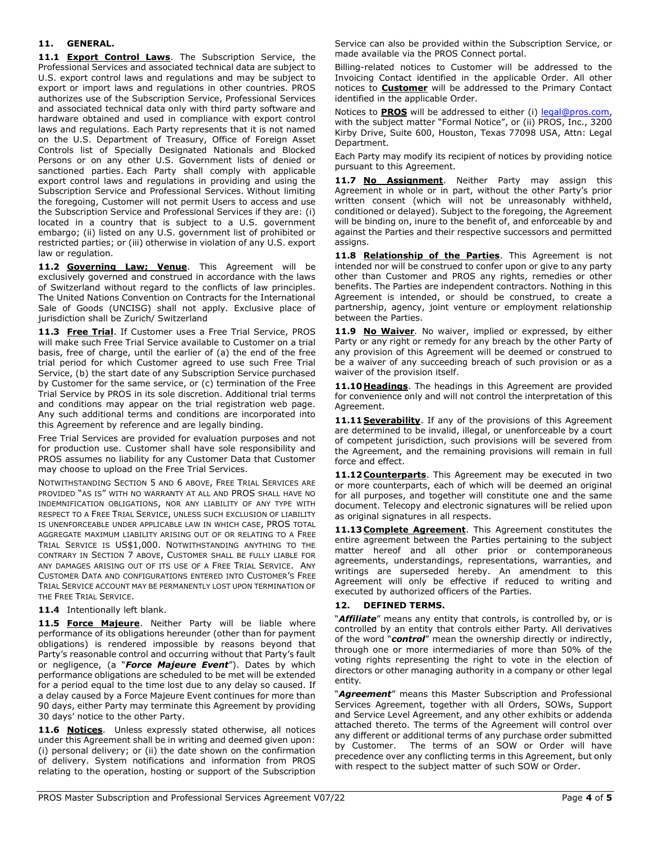#### 11. GENERAL.

11.1 Export Control Laws. The Subscription Service, the Professional Services and associated technical data are subject to U.S. export control laws and regulations and may be subject to export or import laws and regulations in other countries. PROS authorizes use of the Subscription Service, Professional Services and associated technical data only with third party software and hardware obtained and used in compliance with export control laws and regulations. Each Party represents that it is not named on the U.S. Department of Treasury, Office of Foreign Asset Controls list of Specially Designated Nationals and Blocked Persons or on any other U.S. Government lists of denied or sanctioned parties. Each Party shall comply with applicable export control laws and regulations in providing and using the Subscription Service and Professional Services. Without limiting the foregoing, Customer will not permit Users to access and use the Subscription Service and Professional Services if they are: (i) located in a country that is subject to a U.S. government embargo; (ii) listed on any U.S. government list of prohibited or restricted parties; or (iii) otherwise in violation of any U.S. export law or regulation.

11.2 Governing Law; Venue. This Agreement will be exclusively governed and construed in accordance with the laws of Switzerland without regard to the conflicts of law principles. The United Nations Convention on Contracts for the International Sale of Goods (UNCISG) shall not apply. Exclusive place of jurisdiction shall be Zurich/ Switzerland

11.3 Free Trial. If Customer uses a Free Trial Service, PROS will make such Free Trial Service available to Customer on a trial basis, free of charge, until the earlier of (a) the end of the free trial period for which Customer agreed to use such Free Trial Service, (b) the start date of any Subscription Service purchased by Customer for the same service, or (c) termination of the Free Trial Service by PROS in its sole discretion. Additional trial terms and conditions may appear on the trial registration web page. Any such additional terms and conditions are incorporated into this Agreement by reference and are legally binding.

Free Trial Services are provided for evaluation purposes and not for production use. Customer shall have sole responsibility and PROS assumes no liability for any Customer Data that Customer may choose to upload on the Free Trial Services.

NOTWITHSTANDING SECTION 5 AND 6 ABOVE, FREE TRIAL SERVICES ARE PROVIDED "AS IS" WITH NO WARRANTY AT ALL AND PROS SHALL HAVE NO INDEMNIFICATION OBLIGATIONS, NOR ANY LIABILITY OF ANY TYPE WITH RESPECT TO A FREE TRIAL SERVICE, UNLESS SUCH EXCLUSION OF LIABILITY IS UNENFORCEABLE UNDER APPLICABLE LAW IN WHICH CASE, PROS TOTAL AGGREGATE MAXIMUM LIABILITY ARISING OUT OF OR RELATING TO A FREE TRIAL SERVICE IS US\$1,000. NOTWITHSTANDING ANYTHING TO THE CONTRARY IN SECTION 7 ABOVE, CUSTOMER SHALL BE FULLY LIABLE FOR ANY DAMAGES ARISING OUT OF ITS USE OF A FREE TRIAL SERVICE. ANY CUSTOMER DATA AND CONFIGURATIONS ENTERED INTO CUSTOMER'S FREE TRIAL SERVICE ACCOUNT MAY BE PERMANENTLY LOST UPON TERMINATION OF THE FREE TRIAL SERVICE.

11.4 Intentionally left blank.

11.5 Force Majeure. Neither Party will be liable where performance of its obligations hereunder (other than for payment obligations) is rendered impossible by reasons beyond that Party's reasonable control and occurring without that Party's fault or negligence, (a "Force Majeure Event"). Dates by which performance obligations are scheduled to be met will be extended for a period equal to the time lost due to any delay so caused. If a delay caused by a Force Majeure Event continues for more than 90 days, either Party may terminate this Agreement by providing 30 days' notice to the other Party.

11.6 Notices. Unless expressly stated otherwise, all notices under this Agreement shall be in writing and deemed given upon: (i) personal delivery; or (ii) the date shown on the confirmation of delivery. System notifications and information from PROS relating to the operation, hosting or support of the Subscription Service can also be provided within the Subscription Service, or made available via the PROS Connect portal.

Billing-related notices to Customer will be addressed to the Invoicing Contact identified in the applicable Order. All other notices to **Customer** will be addressed to the Primary Contact identified in the applicable Order.

Notices to **PROS** will be addressed to either (i) legal@pros.com, with the subject matter "Formal Notice", or (ii) PROS, Inc., 3200 Kirby Drive, Suite 600, Houston, Texas 77098 USA, Attn: Legal Department.

Each Party may modify its recipient of notices by providing notice pursuant to this Agreement.

11.7 No Assignment. Neither Party may assign this Agreement in whole or in part, without the other Party's prior written consent (which will not be unreasonably withheld, conditioned or delayed). Subject to the foregoing, the Agreement will be binding on, inure to the benefit of, and enforceable by and against the Parties and their respective successors and permitted assigns.

11.8 Relationship of the Parties. This Agreement is not intended nor will be construed to confer upon or give to any party other than Customer and PROS any rights, remedies or other benefits. The Parties are independent contractors. Nothing in this Agreement is intended, or should be construed, to create a partnership, agency, joint venture or employment relationship between the Parties.

11.9 No Waiver. No waiver, implied or expressed, by either Party or any right or remedy for any breach by the other Party of any provision of this Agreement will be deemed or construed to be a waiver of any succeeding breach of such provision or as a waiver of the provision itself.

11.10 Headings. The headings in this Agreement are provided for convenience only and will not control the interpretation of this Agreement.

11.11 Severability. If any of the provisions of this Agreement are determined to be invalid, illegal, or unenforceable by a court of competent jurisdiction, such provisions will be severed from the Agreement, and the remaining provisions will remain in full force and effect.

11.12 Counterparts. This Agreement may be executed in two or more counterparts, each of which will be deemed an original for all purposes, and together will constitute one and the same document. Telecopy and electronic signatures will be relied upon as original signatures in all respects.

11.13 Complete Agreement. This Agreement constitutes the entire agreement between the Parties pertaining to the subject matter hereof and all other prior or contemporaneous agreements, understandings, representations, warranties, and writings are superseded hereby. An amendment to this Agreement will only be effective if reduced to writing and executed by authorized officers of the Parties.

#### DEFINED TERMS.

"Affiliate" means any entity that controls, is controlled by, or is controlled by an entity that controls either Party. All derivatives of the word "control" mean the ownership directly or indirectly, through one or more intermediaries of more than 50% of the voting rights representing the right to vote in the election of directors or other managing authority in a company or other legal entity.

"Agreement" means this Master Subscription and Professional Services Agreement, together with all Orders, SOWs, Support and Service Level Agreement, and any other exhibits or addenda attached thereto. The terms of the Agreement will control over any different or additional terms of any purchase order submitted by Customer. The terms of an SOW or Order will have precedence over any conflicting terms in this Agreement, but only with respect to the subject matter of such SOW or Order.